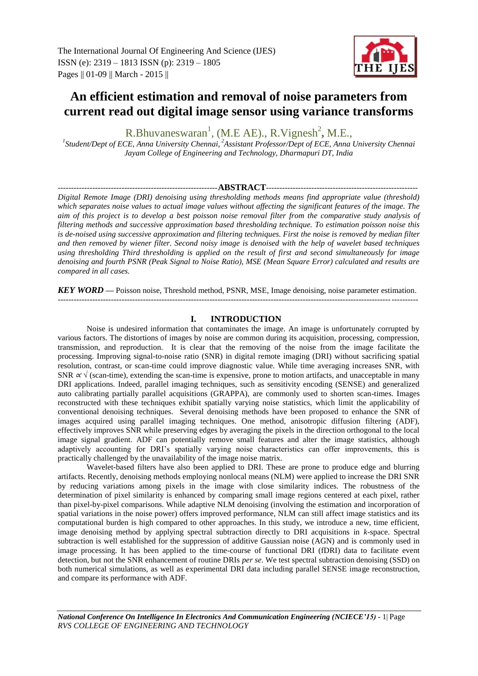# **An efficient estimation and removal of noise parameters from current read out digital image sensor using variance transforms**

R.Bhuvaneswaran<sup>1</sup>, (M.E AE)., R.Vignesh<sup>2</sup>, M.E.,

*1 Student/Dept of ECE, Anna University Chennai*, *<sup>2</sup>Assistant Professor/Dept of ECE, Anna University Chennai Jayam College of Engineering and Technology, Dharmapuri DT, India*

# ------------------------------------------------------------**ABSTRACT**---------------------------------------------------------

*Digital Remote Image (DRI) denoising using thresholding methods means find appropriate value (threshold)*  which separates noise values to actual image values without affecting the significant features of the image. The *aim of this project is to develop a best poisson noise removal filter from the comparative study analysis of filtering methods and successive approximation based thresholding technique. To estimation poisson noise this is de-noised using successive approximation and filtering techniques. First the noise is removed by median filter and then removed by wiener filter. Second noisy image is denoised with the help of wavelet based techniques using thresholding Third thresholding is applied on the result of first and second simultaneously for image denoising and fourth PSNR (Peak Signal to Noise Ratio), MSE (Mean Square Error) calculated and results are compared in all cases.* 

*KEY WORD* **—** Poisson noise, Threshold method, PSNR, MSE, Image denoising, noise parameter estimation. ---------------------------------------------------------------------------------------------------------------------------------------

# **I. INTRODUCTION**

Noise is undesired information that contaminates the image. An image is unfortunately corrupted by various factors. The distortions of images by noise are common during its acquisition, processing, compression, transmission, and reproduction. It is clear that the removing of the noise from the image facilitate the processing. Improving signal-to-noise ratio (SNR) in digital remote imaging (DRI) without sacrificing spatial resolution, contrast, or scan-time could improve diagnostic value. While time averaging increases SNR, with SNR  $\alpha \sqrt{(scan-time)}$ , extending the scan-time is expensive, prone to motion artifacts, and unacceptable in many DRI applications. Indeed, parallel imaging techniques, such as sensitivity encoding (SENSE) and generalized auto calibrating partially parallel acquisitions (GRAPPA), are commonly used to shorten scan-times. Images reconstructed with these techniques exhibit spatially varying noise statistics, which limit the applicability of conventional denoising techniques. Several denoising methods have been proposed to enhance the SNR of images acquired using parallel imaging techniques. One method, anisotropic diffusion filtering (ADF), effectively improves SNR while preserving edges by averaging the pixels in the direction orthogonal to the local image signal gradient. ADF can potentially remove small features and alter the image statistics, although adaptively accounting for DRI's spatially varying noise characteristics can offer improvements, this is practically challenged by the unavailability of the image noise matrix.

Wavelet-based filters have also been applied to DRI. These are prone to produce edge and blurring artifacts. Recently, denoising methods employing nonlocal means (NLM) were applied to increase the DRI SNR by reducing variations among pixels in the image with close similarity indices. The robustness of the determination of pixel similarity is enhanced by comparing small image regions centered at each pixel, rather than pixel-by-pixel comparisons. While adaptive NLM denoising (involving the estimation and incorporation of spatial variations in the noise power) offers improved performance, NLM can still affect image statistics and its computational burden is high compared to other approaches. In this study, we introduce a new, time efficient, image denoising method by applying spectral subtraction directly to DRI acquisitions in *k*-space. Spectral subtraction is well established for the suppression of additive Gaussian noise (AGN) and is commonly used in image processing. It has been applied to the time-course of functional DRI (fDRI) data to facilitate event detection, but not the SNR enhancement of routine DRIs *per se*. We test spectral subtraction denoising (SSD) on both numerical simulations, as well as experimental DRI data including parallel SENSE image reconstruction, and compare its performance with ADF.

*National Conference On Intelligence In Electronics And Communication Engineering (NCIECE'15) -* 1| Page *RVS COLLEGE OF ENGINEERING AND TECHNOLOGY*

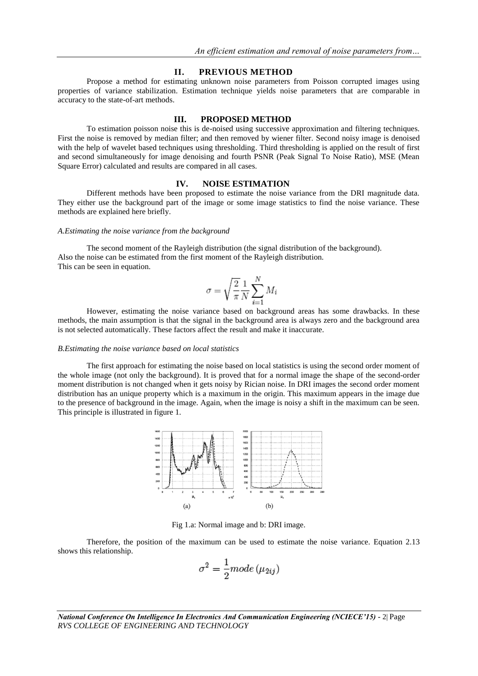#### **II. PREVIOUS METHOD**

Propose a method for estimating unknown noise parameters from Poisson corrupted images using properties of variance stabilization. Estimation technique yields noise parameters that are comparable in accuracy to the state-of-art methods.

#### **III. PROPOSED METHOD**

To estimation poisson noise this is de-noised using successive approximation and filtering techniques. First the noise is removed by median filter; and then removed by wiener filter. Second noisy image is denoised with the help of wavelet based techniques using thresholding. Third thresholding is applied on the result of first and second simultaneously for image denoising and fourth PSNR (Peak Signal To Noise Ratio), MSE (Mean Square Error) calculated and results are compared in all cases.

# **IV. NOISE ESTIMATION**

Different methods have been proposed to estimate the noise variance from the DRI magnitude data. They either use the background part of the image or some image statistics to find the noise variance. These methods are explained here briefly.

#### *A.Estimating the noise variance from the background*

The second moment of the Rayleigh distribution (the signal distribution of the background). Also the noise can be estimated from the first moment of the Rayleigh distribution. This can be seen in equation.

$$
\sigma = \sqrt{\frac{2}{\pi}} \frac{1}{N} \sum_{i=1}^{N} M_i
$$

However, estimating the noise variance based on background areas has some drawbacks. In these methods, the main assumption is that the signal in the background area is always zero and the background area is not selected automatically. These factors affect the result and make it inaccurate.

#### *B.Estimating the noise variance based on local statistics*

The first approach for estimating the noise based on local statistics is using the second order moment of the whole image (not only the background). It is proved that for a normal image the shape of the second-order moment distribution is not changed when it gets noisy by Rician noise. In DRI images the second order moment distribution has an unique property which is a maximum in the origin. This maximum appears in the image due to the presence of background in the image. Again, when the image is noisy a shift in the maximum can be seen. This principle is illustrated in figure 1.



Fig 1.a: Normal image and b: DRI image.

Therefore, the position of the maximum can be used to estimate the noise variance. Equation 2.13 shows this relationship.

$$
\sigma^2 = \frac{1}{2} mode (\mu_{2ij})
$$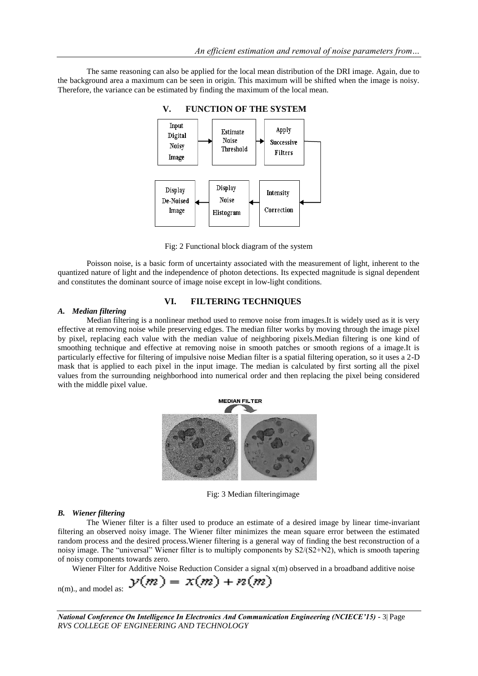The same reasoning can also be applied for the local mean distribution of the DRI image. Again, due to the background area a maximum can be seen in origin. This maximum will be shifted when the image is noisy. Therefore, the variance can be estimated by finding the maximum of the local mean.



Fig: 2 Functional block diagram of the system

Poisson noise, is a basic form of uncertainty associated with the measurement of light, inherent to the quantized nature of light and the independence of photon detections. Its expected magnitude is signal dependent and constitutes the dominant source of image noise except in low-light conditions.

# **VI. FILTERING TECHNIQUES**

## *A. Median filtering*

Median filtering is a nonlinear method used to remove noise from images.It is widely used as it is very effective at removing noise while preserving edges. The median filter works by moving through the image pixel by pixel, replacing each value with the median value of neighboring pixels.Median filtering is one kind of smoothing technique and effective at removing noise in smooth patches or smooth regions of a image.It is particularly effective for filtering of impulsive noise Median filter is a spatial filtering operation, so it uses a 2-D mask that is applied to each pixel in the input image. The median is calculated by first sorting all the pixel values from the surrounding neighborhood into numerical order and then replacing the pixel being considered with the middle pixel value.



Fig: 3 Median filteringimage

### *B. Wiener filtering*

n(m)., and model as:

The Wiener filter is a filter used to produce an estimate of a desired image by linear time-invariant filtering an observed noisy image. The Wiener filter minimizes the mean square error between the estimated random process and the desired process.Wiener filtering is a general way of finding the best reconstruction of a noisy image. The "universal" Wiener filter is to multiply components by S2/(S2+N2), which is smooth tapering of noisy components towards zero.

Wiener Filter for Additive Noise Reduction Consider a signal x(m) observed in a broadband additive noise

$$
y(m) = x(m) + n(m)
$$

*National Conference On Intelligence In Electronics And Communication Engineering (NCIECE'15) -* 3| Page *RVS COLLEGE OF ENGINEERING AND TECHNOLOGY*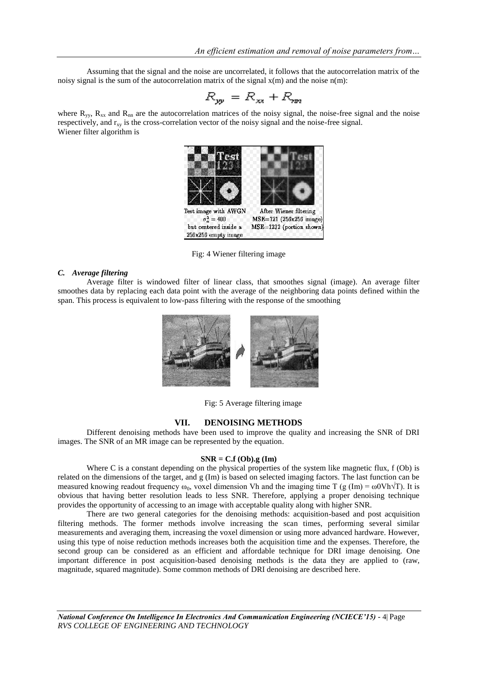Assuming that the signal and the noise are uncorrelated, it follows that the autocorrelation matrix of the noisy signal is the sum of the autocorrelation matrix of the signal  $x(m)$  and the noise  $n(m)$ :

$$
R_{yy} = R_{xx} + R_{yy}
$$

where  $R_{yy}$ ,  $R_{xx}$  and  $R_{nn}$  are the autocorrelation matrices of the noisy signal, the noise-free signal and the noise respectively, and  $r_{xy}$  is the cross-correlation vector of the noisy signal and the noise-free signal. Wiener filter algorithm is



Fig: 4 Wiener filtering image

#### *C. Average filtering*

Average filter is windowed filter of linear class, that smoothes signal (image). An average filter smoothes data by replacing each data point with the average of the neighboring data points defined within the span. This process is equivalent to low-pass filtering with the response of the smoothing



Fig: 5 Average filtering image

#### **VII. DENOISING METHODS**

Different denoising methods have been used to improve the quality and increasing the SNR of DRI images. The SNR of an MR image can be represented by the equation.

#### **SNR = C.f (Ob).g (Im)**

Where C is a constant depending on the physical properties of the system like magnetic flux, f (Ob) is related on the dimensions of the target, and g (Im) is based on selected imaging factors. The last function can be measured knowing readout frequency  $\omega_0$ , voxel dimension Vh and the imaging time T (g (Im) =  $\omega$ OVh $\sqrt{T}$ ). It is obvious that having better resolution leads to less SNR. Therefore, applying a proper denoising technique provides the opportunity of accessing to an image with acceptable quality along with higher SNR.

There are two general categories for the denoising methods: acquisition-based and post acquisition filtering methods. The former methods involve increasing the scan times, performing several similar measurements and averaging them, increasing the voxel dimension or using more advanced hardware. However, using this type of noise reduction methods increases both the acquisition time and the expenses. Therefore, the second group can be considered as an efficient and affordable technique for DRI image denoising. One important difference in post acquisition-based denoising methods is the data they are applied to (raw, magnitude, squared magnitude). Some common methods of DRI denoising are described here.

*National Conference On Intelligence In Electronics And Communication Engineering (NCIECE'15) -* 4| Page *RVS COLLEGE OF ENGINEERING AND TECHNOLOGY*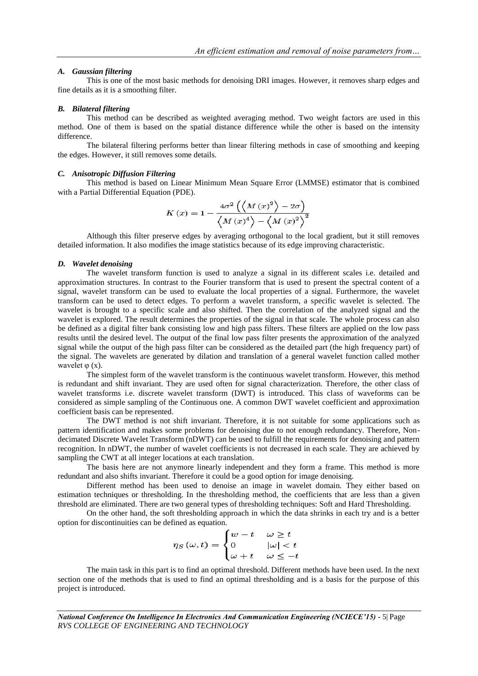#### *A. Gaussian filtering*

This is one of the most basic methods for denoising DRI images. However, it removes sharp edges and fine details as it is a smoothing filter.

#### *B. Bilateral filtering*

This method can be described as weighted averaging method. Two weight factors are used in this method. One of them is based on the spatial distance difference while the other is based on the intensity difference.

The bilateral filtering performs better than linear filtering methods in case of smoothing and keeping the edges. However, it still removes some details.

#### *C. Anisotropic Diffusion Filtering*

This method is based on Linear Minimum Mean Square Error (LMMSE) estimator that is combined with a Partial Differential Equation (PDE).

$$
K(x) = 1 - \frac{4\sigma^2 \left(\left\langle M(x)^2 \right\rangle - 2\sigma\right)}{\left\langle M(x)^4 \right\rangle - \left\langle M(x)^2 \right\rangle^2}
$$

Although this filter preserve edges by averaging orthogonal to the local gradient, but it still removes detailed information. It also modifies the image statistics because of its edge improving characteristic.

#### *D. Wavelet denoising*

The wavelet transform function is used to analyze a signal in its different scales i.e. detailed and approximation structures. In contrast to the Fourier transform that is used to present the spectral content of a signal, wavelet transform can be used to evaluate the local properties of a signal. Furthermore, the wavelet transform can be used to detect edges. To perform a wavelet transform, a specific wavelet is selected. The wavelet is brought to a specific scale and also shifted. Then the correlation of the analyzed signal and the wavelet is explored. The result determines the properties of the signal in that scale. The whole process can also be defined as a digital filter bank consisting low and high pass filters. These filters are applied on the low pass results until the desired level. The output of the final low pass filter presents the approximation of the analyzed signal while the output of the high pass filter can be considered as the detailed part (the high frequency part) of the signal. The wavelets are generated by dilation and translation of a general wavelet function called mother wavelet  $\varphi$  (x).

The simplest form of the wavelet transform is the continuous wavelet transform. However, this method is redundant and shift invariant. They are used often for signal characterization. Therefore, the other class of wavelet transforms i.e. discrete wavelet transform (DWT) is introduced. This class of waveforms can be considered as simple sampling of the Continuous one. A common DWT wavelet coefficient and approximation coefficient basis can be represented.

The DWT method is not shift invariant. Therefore, it is not suitable for some applications such as pattern identification and makes some problems for denoising due to not enough redundancy. Therefore, Nondecimated Discrete Wavelet Transform (nDWT) can be used to fulfill the requirements for denoising and pattern recognition. In nDWT, the number of wavelet coefficients is not decreased in each scale. They are achieved by sampling the CWT at all integer locations at each translation.

The basis here are not anymore linearly independent and they form a frame. This method is more redundant and also shifts invariant. Therefore it could be a good option for image denoising.

Different method has been used to denoise an image in wavelet domain. They either based on estimation techniques or thresholding. In the thresholding method, the coefficients that are less than a given threshold are eliminated. There are two general types of thresholding techniques: Soft and Hard Thresholding.

On the other hand, the soft thresholding approach in which the data shrinks in each try and is a better option for discontinuities can be defined as equation.

$$
\eta_S(\omega, t) = \begin{cases} w - t & \omega \ge t \\ 0 & |\omega| < t \\ \omega + t & \omega \le -t \end{cases}
$$

The main task in this part is to find an optimal threshold. Different methods have been used. In the next section one of the methods that is used to find an optimal thresholding and is a basis for the purpose of this project is introduced.

*National Conference On Intelligence In Electronics And Communication Engineering (NCIECE'15) -* 5| Page *RVS COLLEGE OF ENGINEERING AND TECHNOLOGY*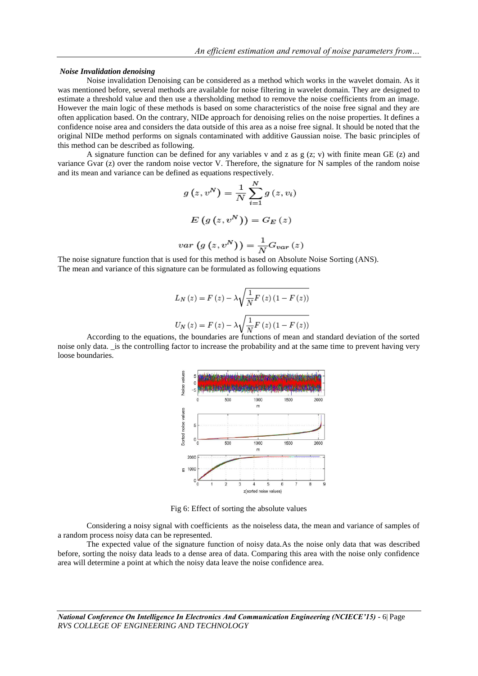#### *Noise Invalidation denoising*

Noise invalidation Denoising can be considered as a method which works in the wavelet domain. As it was mentioned before, several methods are available for noise filtering in wavelet domain. They are designed to estimate a threshold value and then use a thersholding method to remove the noise coefficients from an image. However the main logic of these methods is based on some characteristics of the noise free signal and they are often application based. On the contrary, NIDe approach for denoising relies on the noise properties. It defines a confidence noise area and considers the data outside of this area as a noise free signal. It should be noted that the original NIDe method performs on signals contaminated with additive Gaussian noise. The basic principles of this method can be described as following.

A signature function can be defined for any variables v and z as  $g(z; v)$  with finite mean GE (z) and variance Gvar (z) over the random noise vector V. Therefore, the signature for N samples of the random noise and its mean and variance can be defined as equations respectively.

$$
g(z, v^N) = \frac{1}{N} \sum_{i=1}^{N} g(z, v_i)
$$

$$
E(g(z, v^N)) = G_E(z)
$$

$$
var(g(z, v^N)) = \frac{1}{N} G_{var}(z)
$$

The noise signature function that is used for this method is based on Absolute Noise Sorting (ANS). The mean and variance of this signature can be formulated as following equations

$$
L_N(z) = F(z) - \lambda \sqrt{\frac{1}{N} F(z) (1 - F(z))}
$$
  

$$
U_N(z) = F(z) - \lambda \sqrt{\frac{1}{N} F(z) (1 - F(z))}
$$

According to the equations, the boundaries are functions of mean and standard deviation of the sorted noise only data. \_is the controlling factor to increase the probability and at the same time to prevent having very loose boundaries.



Fig 6: Effect of sorting the absolute values

Considering a noisy signal with coefficients as the noiseless data, the mean and variance of samples of a random process noisy data can be represented.

The expected value of the signature function of noisy data.As the noise only data that was described before, sorting the noisy data leads to a dense area of data. Comparing this area with the noise only confidence area will determine a point at which the noisy data leave the noise confidence area.

*National Conference On Intelligence In Electronics And Communication Engineering (NCIECE'15) -* 6| Page *RVS COLLEGE OF ENGINEERING AND TECHNOLOGY*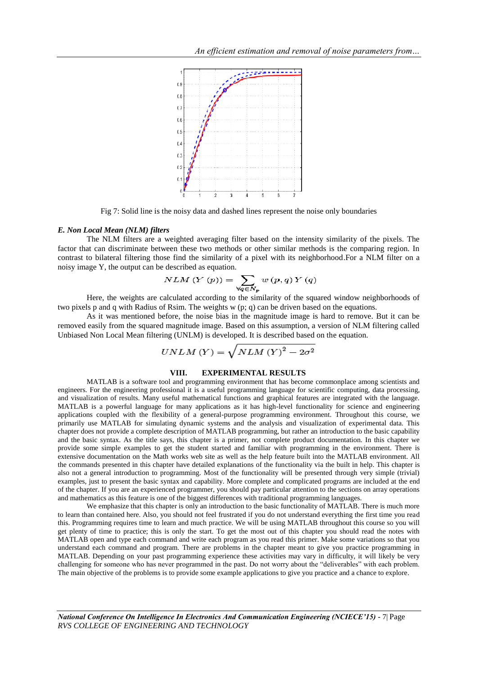

Fig 7: Solid line is the noisy data and dashed lines represent the noise only boundaries

#### *E. Non Local Mean (NLM) filters*

The NLM filters are a weighted averaging filter based on the intensity similarity of the pixels. The factor that can discriminate between these two methods or other similar methods is the comparing region. In contrast to bilateral filtering those find the similarity of a pixel with its neighborhood.For a NLM filter on a noisy image Y, the output can be described as equation.

$$
VLM(Y(p)) = \sum_{\forall q \in N_p} w(p,q) Y(q)
$$

Here, the weights are calculated according to the similarity of the squared window neighborhoods of two pixels p and q with Radius of Rsim. The weights w (p; q) can be driven based on the equations.

As it was mentioned before, the noise bias in the magnitude image is hard to remove. But it can be removed easily from the squared magnitude image. Based on this assumption, a version of NLM filtering called Unbiased Non Local Mean filtering (UNLM) is developed. It is described based on the equation.

$$
UNLM(Y) = \sqrt{NLM(Y)^2 - 2\sigma^2}
$$

## **VIII. EXPERIMENTAL RESULTS**

MATLAB is a software tool and programming environment that has become commonplace among scientists and engineers. For the engineering professional it is a useful programming language for scientific computing, data processing, and visualization of results. Many useful mathematical functions and graphical features are integrated with the language. MATLAB is a powerful language for many applications as it has high-level functionality for science and engineering applications coupled with the flexibility of a general-purpose programming environment. Throughout this course, we primarily use MATLAB for simulating dynamic systems and the analysis and visualization of experimental data. This chapter does not provide a complete description of MATLAB programming, but rather an introduction to the basic capability and the basic syntax. As the title says, this chapter is a primer, not complete product documentation. In this chapter we provide some simple examples to get the student started and familiar with programming in the environment. There is extensive documentation on the Math works web site as well as the help feature built into the MATLAB environment. All the commands presented in this chapter have detailed explanations of the functionality via the built in help. This chapter is also not a general introduction to programming. Most of the functionality will be presented through very simple (trivial) examples, just to present the basic syntax and capability. More complete and complicated programs are included at the end of the chapter. If you are an experienced programmer, you should pay particular attention to the sections on array operations and mathematics as this feature is one of the biggest differences with traditional programming languages.

We emphasize that this chapter is only an introduction to the basic functionality of MATLAB. There is much more to learn than contained here. Also, you should not feel frustrated if you do not understand everything the first time you read this. Programming requires time to learn and much practice. We will be using MATLAB throughout this course so you will get plenty of time to practice; this is only the start. To get the most out of this chapter you should read the notes with MATLAB open and type each command and write each program as you read this primer. Make some variations so that you understand each command and program. There are problems in the chapter meant to give you practice programming in MATLAB. Depending on your past programming experience these activities may vary in difficulty, it will likely be very challenging for someone who has never programmed in the past. Do not worry about the "deliverables" with each problem. The main objective of the problems is to provide some example applications to give you practice and a chance to explore.

*National Conference On Intelligence In Electronics And Communication Engineering (NCIECE'15) -* 7| Page *RVS COLLEGE OF ENGINEERING AND TECHNOLOGY*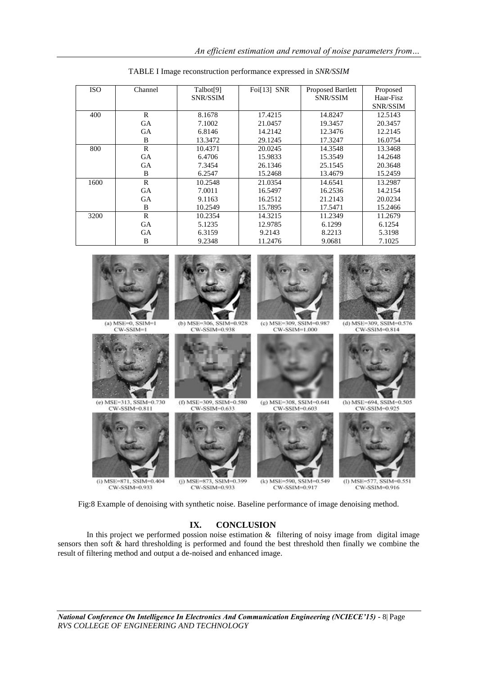| <b>ISO</b> | Channel      | Talbot[9]       | Foi <sup>[13]</sup> SNR | Proposed Bartlett | Proposed        |
|------------|--------------|-----------------|-------------------------|-------------------|-----------------|
|            |              | <b>SNR/SSIM</b> |                         | <b>SNR/SSIM</b>   | Haar-Fisz       |
|            |              |                 |                         |                   | <b>SNR/SSIM</b> |
| 400        | R            | 8.1678          | 17.4215                 | 14.8247           | 12.5143         |
|            | <b>GA</b>    | 7.1002          | 21.0457                 | 19.3457           | 20.3457         |
|            | <b>GA</b>    | 6.8146          | 14.2142                 | 12.3476           | 12.2145         |
|            | B            | 13.3472         | 29.1245                 | 17.3247           | 16.0754         |
| 800        | R            | 10.4371         | 20.0245                 | 14.3548           | 13.3468         |
|            | <b>GA</b>    | 6.4706          | 15.9833                 | 15.3549           | 14.2648         |
|            | <b>GA</b>    | 7.3454          | 26.1346                 | 25.1545           | 20.3648         |
|            | B            | 6.2547          | 15.2468                 | 13.4679           | 15.2459         |
| 1600       | $\mathbb{R}$ | 10.2548         | 21.0354                 | 14.6541           | 13.2987         |
|            | <b>GA</b>    | 7.0011          | 16.5497                 | 16.2536           | 14.2154         |
|            | <b>GA</b>    | 9.1163          | 16.2512                 | 21.2143           | 20.0234         |
|            | B            | 10.2549         | 15.7895                 | 17.5471           | 15.2466         |
| 3200       | $\mathbb{R}$ | 10.2354         | 14.3215                 | 11.2349           | 11.2679         |
|            | <b>GA</b>    | 5.1235          | 12.9785                 | 6.1299            | 6.1254          |
|            | <b>GA</b>    | 6.3159          | 9.2143                  | 8.2213            | 5.3198          |
|            | B            | 9.2348          | 11.2476                 | 9.0681            | 7.1025          |

TABLE I Image reconstruction performance expressed in *SNR/SSIM*



Fig:8 Example of denoising with synthetic noise. Baseline performance of image denoising method.

# **IX. CONCLUSION**

In this project we performed possion noise estimation  $\&$  filtering of noisy image from digital image sensors then soft & hard thresholding is performed and found the best threshold then finally we combine the result of filtering method and output a de-noised and enhanced image.

*National Conference On Intelligence In Electronics And Communication Engineering (NCIECE'15) -* 8| Page *RVS COLLEGE OF ENGINEERING AND TECHNOLOGY*